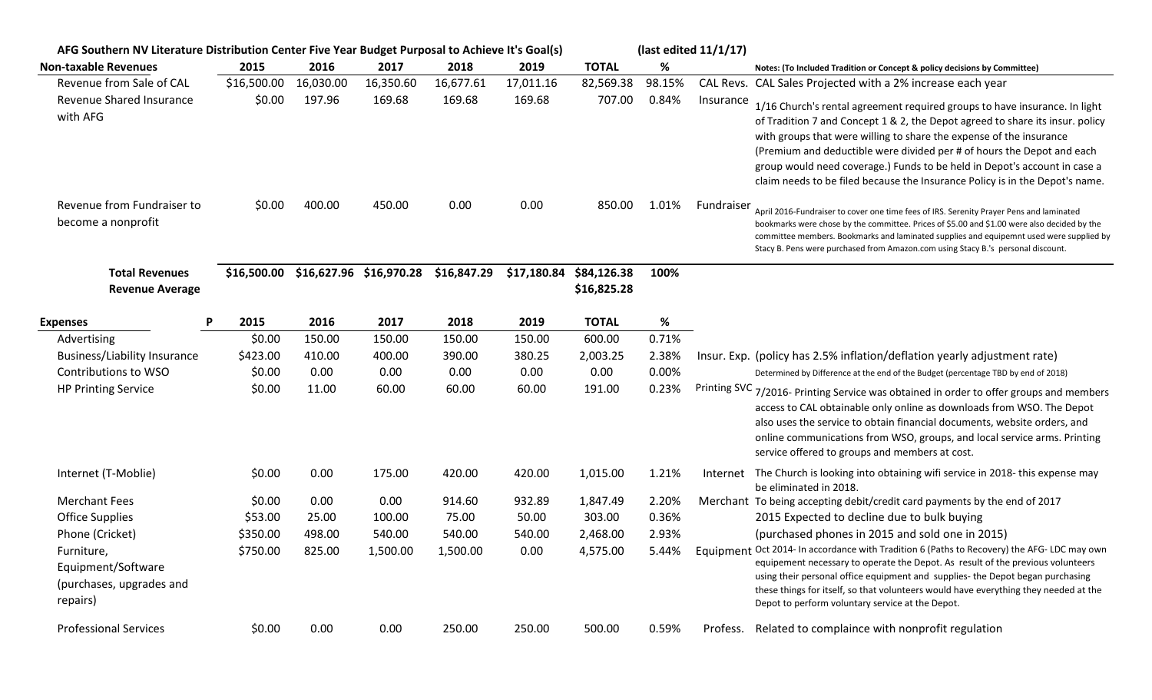| AFG Southern NV Literature Distribution Center Five Year Budget Purposal to Achieve It's Goal(s) |             |           |                                     |             |             | (last edited 11/1/17) |        |            |                                                                                                                                                                                                                                                                                                                                                                                                                                                                           |
|--------------------------------------------------------------------------------------------------|-------------|-----------|-------------------------------------|-------------|-------------|-----------------------|--------|------------|---------------------------------------------------------------------------------------------------------------------------------------------------------------------------------------------------------------------------------------------------------------------------------------------------------------------------------------------------------------------------------------------------------------------------------------------------------------------------|
| <b>Non-taxable Revenues</b>                                                                      | 2015        | 2016      | 2017                                | 2018        | 2019        | <b>TOTAL</b>          | %      |            | Notes: (To Included Tradition or Concept & policy decisions by Committee)                                                                                                                                                                                                                                                                                                                                                                                                 |
| Revenue from Sale of CAL                                                                         | \$16,500.00 | 16,030.00 | 16,350.60                           | 16,677.61   | 17,011.16   | 82,569.38             | 98.15% |            | CAL Revs. CAL Sales Projected with a 2% increase each year                                                                                                                                                                                                                                                                                                                                                                                                                |
| Revenue Shared Insurance<br>with AFG                                                             | \$0.00      | 197.96    | 169.68                              | 169.68      | 169.68      | 707.00                | 0.84%  | Insurance  | 1/16 Church's rental agreement required groups to have insurance. In light<br>of Tradition 7 and Concept 1 & 2, the Depot agreed to share its insur. policy<br>with groups that were willing to share the expense of the insurance<br>(Premium and deductible were divided per # of hours the Depot and each<br>group would need coverage.) Funds to be held in Depot's account in case a<br>claim needs to be filed because the Insurance Policy is in the Depot's name. |
| Revenue from Fundraiser to<br>become a nonprofit                                                 | \$0.00      | 400.00    | 450.00                              | 0.00        | 0.00        | 850.00                | 1.01%  | Fundraiser | April 2016-Fundraiser to cover one time fees of IRS. Serenity Prayer Pens and laminated<br>bookmarks were chose by the committee. Prices of \$5.00 and \$1.00 were also decided by the<br>committee members. Bookmarks and laminated supplies and equipemnt used were supplied by<br>Stacy B. Pens were purchased from Amazon.com using Stacy B.'s personal discount.                                                                                                     |
| <b>Total Revenues</b>                                                                            |             |           | \$16,500.00 \$16,627.96 \$16,970.28 | \$16,847.29 | \$17,180.84 | \$84,126.38           | 100%   |            |                                                                                                                                                                                                                                                                                                                                                                                                                                                                           |
| <b>Revenue Average</b>                                                                           |             |           |                                     |             |             | \$16,825.28           |        |            |                                                                                                                                                                                                                                                                                                                                                                                                                                                                           |
| <b>Expenses</b>                                                                                  | 2015        | 2016      | 2017                                | 2018        | 2019        | <b>TOTAL</b>          | %      |            |                                                                                                                                                                                                                                                                                                                                                                                                                                                                           |
| Advertising                                                                                      | \$0.00      | 150.00    | 150.00                              | 150.00      | 150.00      | 600.00                | 0.71%  |            |                                                                                                                                                                                                                                                                                                                                                                                                                                                                           |
| Business/Liability Insurance                                                                     | \$423.00    | 410.00    | 400.00                              | 390.00      | 380.25      | 2,003.25              | 2.38%  |            | Insur. Exp. (policy has 2.5% inflation/deflation yearly adjustment rate)                                                                                                                                                                                                                                                                                                                                                                                                  |
| Contributions to WSO                                                                             | \$0.00      | 0.00      | 0.00                                | 0.00        | 0.00        | 0.00                  | 0.00%  |            | Determined by Difference at the end of the Budget (percentage TBD by end of 2018)                                                                                                                                                                                                                                                                                                                                                                                         |
| <b>HP Printing Service</b>                                                                       | \$0.00      | 11.00     | 60.00                               | 60.00       | 60.00       | 191.00                | 0.23%  |            | Printing SVC 7/2016- Printing Service was obtained in order to offer groups and members<br>access to CAL obtainable only online as downloads from WSO. The Depot<br>also uses the service to obtain financial documents, website orders, and<br>online communications from WSO, groups, and local service arms. Printing<br>service offered to groups and members at cost.                                                                                                |
| Internet (T-Moblie)                                                                              | \$0.00      | 0.00      | 175.00                              | 420.00      | 420.00      | 1,015.00              | 1.21%  | Internet   | The Church is looking into obtaining wifi service in 2018-this expense may<br>be eliminated in 2018.                                                                                                                                                                                                                                                                                                                                                                      |
| <b>Merchant Fees</b>                                                                             | \$0.00      | 0.00      | 0.00                                | 914.60      | 932.89      | 1,847.49              | 2.20%  |            | Merchant To being accepting debit/credit card payments by the end of 2017                                                                                                                                                                                                                                                                                                                                                                                                 |
| <b>Office Supplies</b>                                                                           | \$53.00     | 25.00     | 100.00                              | 75.00       | 50.00       | 303.00                | 0.36%  |            | 2015 Expected to decline due to bulk buying                                                                                                                                                                                                                                                                                                                                                                                                                               |
| Phone (Cricket)                                                                                  | \$350.00    | 498.00    | 540.00                              | 540.00      | 540.00      | 2,468.00              | 2.93%  |            | (purchased phones in 2015 and sold one in 2015)                                                                                                                                                                                                                                                                                                                                                                                                                           |
| Furniture,<br>Equipment/Software<br>(purchases, upgrades and<br>repairs)                         | \$750.00    | 825.00    | 1,500.00                            | 1,500.00    | 0.00        | 4,575.00              | 5.44%  |            | Equipment Oct 2014- In accordance with Tradition 6 (Paths to Recovery) the AFG- LDC may own<br>equipement necessary to operate the Depot. As result of the previous volunteers<br>using their personal office equipment and supplies- the Depot began purchasing<br>these things for itself, so that volunteers would have everything they needed at the<br>Depot to perform voluntary service at the Depot.                                                              |
| <b>Professional Services</b>                                                                     | \$0.00      | 0.00      | 0.00                                | 250.00      | 250.00      | 500.00                | 0.59%  |            | Profess. Related to complaince with nonprofit regulation                                                                                                                                                                                                                                                                                                                                                                                                                  |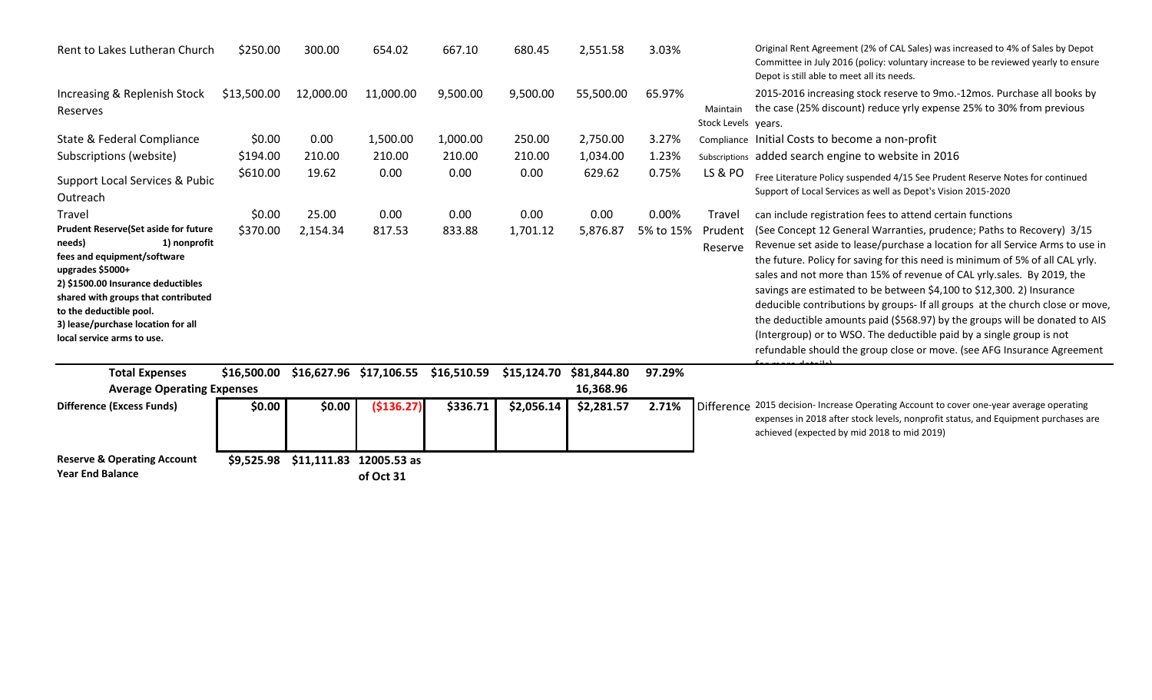| Rent to Lakes Lutheran Church                                                                                                                                                                                                                                                                         | \$250.00    | 300.00                  | 654.02      | 667.10      | 680.45      | 2,551.58    | 3.03%     |                                 | Original Rent Agreement (2% of CAL Sales) was increased to 4% of Sales by Depot<br>Committee in July 2016 (policy: voluntary increase to be reviewed yearly to ensure<br>Depot is still able to meet all its needs.                                                                                                                                                                                                                                                                                                                                                                                                                                                                                           |  |
|-------------------------------------------------------------------------------------------------------------------------------------------------------------------------------------------------------------------------------------------------------------------------------------------------------|-------------|-------------------------|-------------|-------------|-------------|-------------|-----------|---------------------------------|---------------------------------------------------------------------------------------------------------------------------------------------------------------------------------------------------------------------------------------------------------------------------------------------------------------------------------------------------------------------------------------------------------------------------------------------------------------------------------------------------------------------------------------------------------------------------------------------------------------------------------------------------------------------------------------------------------------|--|
| Increasing & Replenish Stock<br>Reserves                                                                                                                                                                                                                                                              | \$13,500.00 | 12,000.00               | 11,000.00   | 9,500.00    | 9,500.00    | 55,500.00   | 65.97%    | Maintain<br>Stock Levels years. | 2015-2016 increasing stock reserve to 9mo.-12mos. Purchase all books by<br>the case (25% discount) reduce yrly expense 25% to 30% from previous                                                                                                                                                                                                                                                                                                                                                                                                                                                                                                                                                               |  |
| State & Federal Compliance                                                                                                                                                                                                                                                                            | \$0.00      | 0.00                    | 1,500.00    | 1,000.00    | 250.00      | 2,750.00    | 3.27%     |                                 | Compliance Initial Costs to become a non-profit                                                                                                                                                                                                                                                                                                                                                                                                                                                                                                                                                                                                                                                               |  |
| Subscriptions (website)                                                                                                                                                                                                                                                                               | \$194.00    | 210.00                  | 210.00      | 210.00      | 210.00      | 1,034.00    | 1.23%     |                                 | Subscriptions added search engine to website in 2016                                                                                                                                                                                                                                                                                                                                                                                                                                                                                                                                                                                                                                                          |  |
| Support Local Services & Pubic<br>Outreach                                                                                                                                                                                                                                                            | \$610.00    | 19.62                   | 0.00        | 0.00        | 0.00        | 629.62      | 0.75%     | <b>LS &amp; PO</b>              | Free Literature Policy suspended 4/15 See Prudent Reserve Notes for continued<br>Support of Local Services as well as Depot's Vision 2015-2020                                                                                                                                                                                                                                                                                                                                                                                                                                                                                                                                                                |  |
| Travel                                                                                                                                                                                                                                                                                                | \$0.00      | 25.00                   | 0.00        | 0.00        | 0.00        | 0.00        | 0.00%     | Travel                          | can include registration fees to attend certain functions                                                                                                                                                                                                                                                                                                                                                                                                                                                                                                                                                                                                                                                     |  |
| <b>Prudent Reserve (Set aside for future</b><br>needs)<br>1) nonprofit<br>fees and equipment/software<br>upgrades \$5000+<br>2) \$1500.00 Insurance deductibles<br>shared with groups that contributed<br>to the deductible pool.<br>3) lease/purchase location for all<br>local service arms to use. | \$370.00    | 2,154.34                | 817.53      | 833.88      | 1,701.12    | 5,876.87    | 5% to 15% | Prudent<br>Reserve              | (See Concept 12 General Warranties, prudence; Paths to Recovery) 3/15<br>Revenue set aside to lease/purchase a location for all Service Arms to use in<br>the future. Policy for saving for this need is minimum of 5% of all CAL yrly.<br>sales and not more than 15% of revenue of CAL yrly.sales. By 2019, the<br>savings are estimated to be between \$4,100 to \$12,300. 2) Insurance<br>deducible contributions by groups- If all groups at the church close or move,<br>the deductible amounts paid (\$568.97) by the groups will be donated to AIS<br>(Intergroup) or to WSO. The deductible paid by a single group is not<br>refundable should the group close or move. (see AFG Insurance Agreement |  |
| <b>Total Expenses</b>                                                                                                                                                                                                                                                                                 | \$16,500.00 | \$16,627.96 \$17,106.55 |             | \$16,510.59 | \$15,124.70 | \$81,844.80 | 97.29%    |                                 |                                                                                                                                                                                                                                                                                                                                                                                                                                                                                                                                                                                                                                                                                                               |  |
| 16,368.96<br><b>Average Operating Expenses</b>                                                                                                                                                                                                                                                        |             |                         |             |             |             |             |           |                                 |                                                                                                                                                                                                                                                                                                                                                                                                                                                                                                                                                                                                                                                                                                               |  |
| <b>Difference (Excess Funds)</b>                                                                                                                                                                                                                                                                      | \$0.00      | \$0.00                  | (\$136.27)  | \$336.71    | \$2,056.14  | \$2,281.57  | 2.71%     |                                 | Difference 2015 decision- Increase Operating Account to cover one-year average operating<br>expenses in 2018 after stock levels, nonprofit status, and Equipment purchases are<br>achieved (expected by mid 2018 to mid 2019)                                                                                                                                                                                                                                                                                                                                                                                                                                                                                 |  |
| <b>Reserve &amp; Operating Account</b>                                                                                                                                                                                                                                                                | \$9,525.98  | \$11,111.83             | 12005.53 as |             |             |             |           |                                 |                                                                                                                                                                                                                                                                                                                                                                                                                                                                                                                                                                                                                                                                                                               |  |
| <b>Year End Balance</b>                                                                                                                                                                                                                                                                               |             |                         | of Oct 31   |             |             |             |           |                                 |                                                                                                                                                                                                                                                                                                                                                                                                                                                                                                                                                                                                                                                                                                               |  |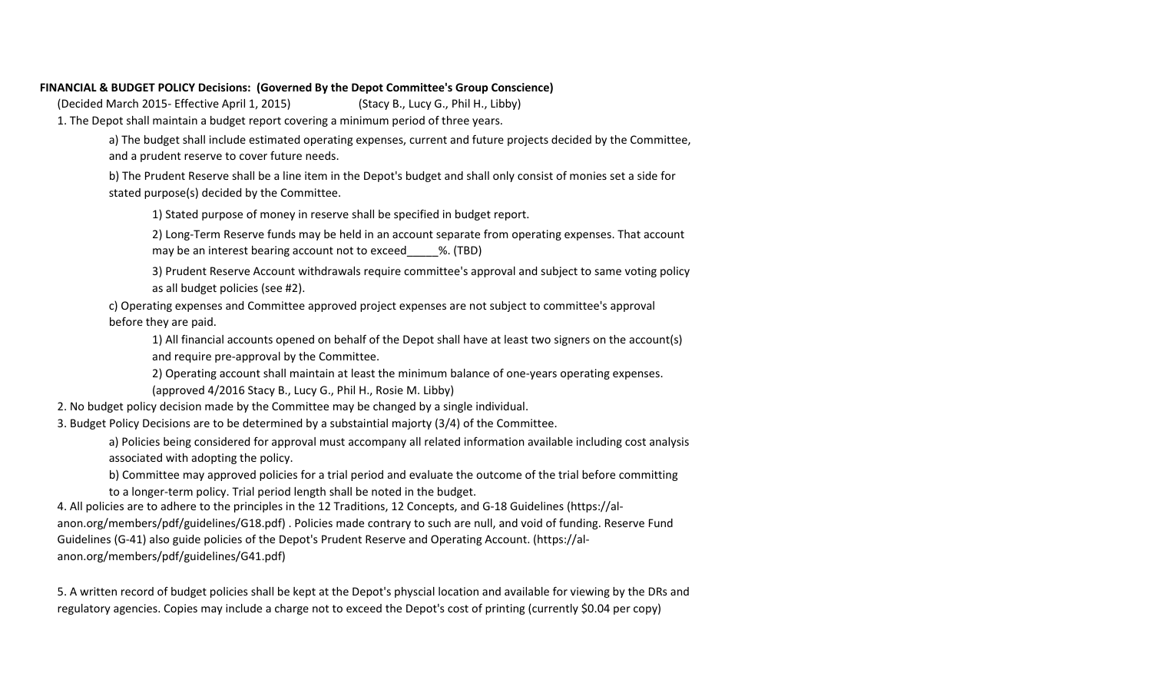## **FINANCIAL & BUDGET POLICY Decisions: (Governed By the Depot Committee's Group Conscience)**

(Decided March 2015- Effective April 1, 2015) (Stacy B., Lucy G., Phil H., Libby)

1. The Depot shall maintain a budget report covering a minimum period of three years.

a) The budget shall include estimated operating expenses, current and future projects decided by the Committee, and a prudent reserve to cover future needs.

b) The Prudent Reserve shall be a line item in the Depot's budget and shall only consist of monies set a side for stated purpose(s) decided by the Committee.

1) Stated purpose of money in reserve shall be specified in budget report.

2) Long-Term Reserve funds may be held in an account separate from operating expenses. That account may be an interest bearing account not to exceed  $\frac{1}{2}$ . (TBD)

3) Prudent Reserve Account withdrawals require committee's approval and subject to same voting policy as all budget policies (see #2).

c) Operating expenses and Committee approved project expenses are not subject to committee's approval

before they are paid.

1) All financial accounts opened on behalf of the Depot shall have at least two signers on the account(s) and require pre-approval by the Committee.

2) Operating account shall maintain at least the minimum balance of one-years operating expenses.

(approved 4/2016 Stacy B., Lucy G., Phil H., Rosie M. Libby)

2. No budget policy decision made by the Committee may be changed by a single individual.

3. Budget Policy Decisions are to be determined by a substaintial majorty (3/4) of the Committee.

a) Policies being considered for approval must accompany all related information available including cost analysis associated with adopting the policy.

b) Committee may approved policies for a trial period and evaluate the outcome of the trial before committing to a longer-term policy. Trial period length shall be noted in the budget.

4. All policies are to adhere to the principles in the 12 Traditions, 12 Concepts, and G-18 Guidelines (https://alanon.org/members/pdf/guidelines/G18.pdf) . Policies made contrary to such are null, and void of funding. Reserve Fund Guidelines (G-41) also guide policies of the Depot's Prudent Reserve and Operating Account. (https://alanon.org/members/pdf/guidelines/G41.pdf)

5. A written record of budget policies shall be kept at the Depot's physcial location and available for viewing by the DRs and regulatory agencies. Copies may include a charge not to exceed the Depot's cost of printing (currently \$0.04 per copy)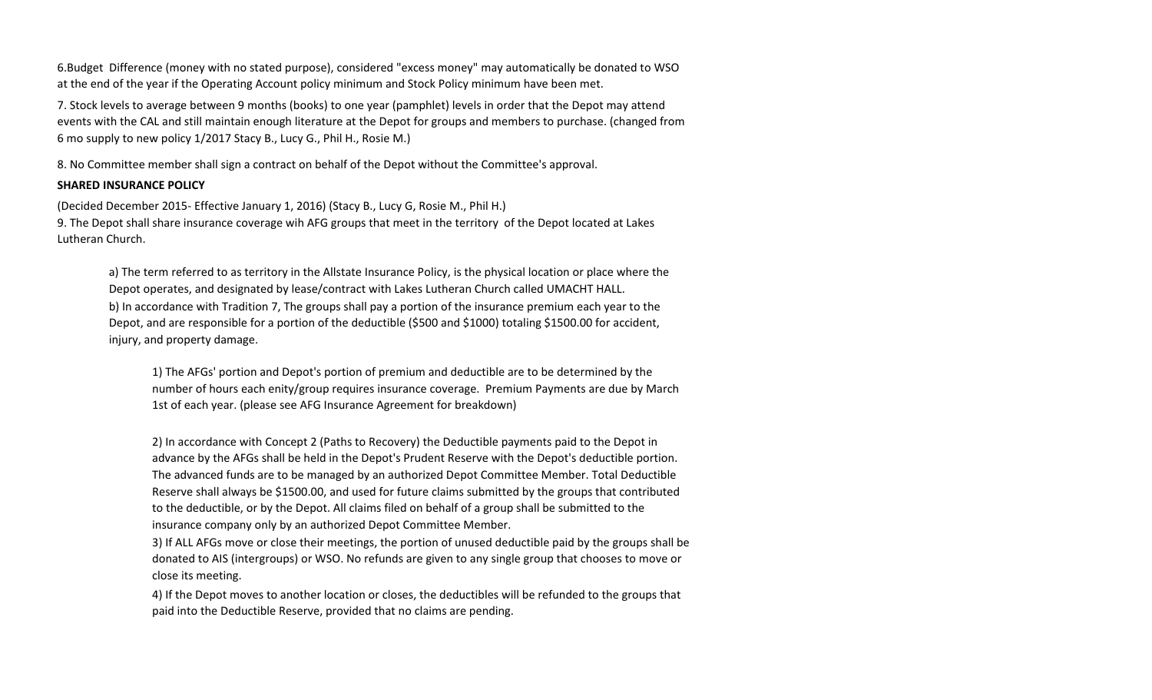6.Budget Difference (money with no stated purpose), considered "excess money" may automatically be donated to WSO at the end of the year if the Operating Account policy minimum and Stock Policy minimum have been met.

7. Stock levels to average between 9 months (books) to one year (pamphlet) levels in order that the Depot may attend events with the CAL and still maintain enough literature at the Depot for groups and members to purchase. (changed from 6 mo supply to new policy 1/2017 Stacy B., Lucy G., Phil H., Rosie M.)

8. No Committee member shall sign a contract on behalf of the Depot without the Committee's approval.

## **SHARED INSURANCE POLICY**

(Decided December 2015- Effective January 1, 2016) (Stacy B., Lucy G, Rosie M., Phil H.) 9. The Depot shall share insurance coverage wih AFG groups that meet in the territory of the Depot located at Lakes Lutheran Church.

a) The term referred to as territory in the Allstate Insurance Policy, is the physical location or place where the Depot operates, and designated by lease/contract with Lakes Lutheran Church called UMACHT HALL. b) In accordance with Tradition 7, The groups shall pay a portion of the insurance premium each year to the Depot, and are responsible for a portion of the deductible (\$500 and \$1000) totaling \$1500.00 for accident, injury, and property damage.

1) The AFGs' portion and Depot's portion of premium and deductible are to be determined by the number of hours each enity/group requires insurance coverage. Premium Payments are due by March 1st of each year. (please see AFG Insurance Agreement for breakdown)

2) In accordance with Concept 2 (Paths to Recovery) the Deductible payments paid to the Depot in advance by the AFGs shall be held in the Depot's Prudent Reserve with the Depot's deductible portion. The advanced funds are to be managed by an authorized Depot Committee Member. Total Deductible Reserve shall always be \$1500.00, and used for future claims submitted by the groups that contributed to the deductible, or by the Depot. All claims filed on behalf of a group shall be submitted to the insurance company only by an authorized Depot Committee Member.

3) If ALL AFGs move or close their meetings, the portion of unused deductible paid by the groups shall be donated to AIS (intergroups) or WSO. No refunds are given to any single group that chooses to move or close its meeting.

4) If the Depot moves to another location or closes, the deductibles will be refunded to the groups that paid into the Deductible Reserve, provided that no claims are pending.